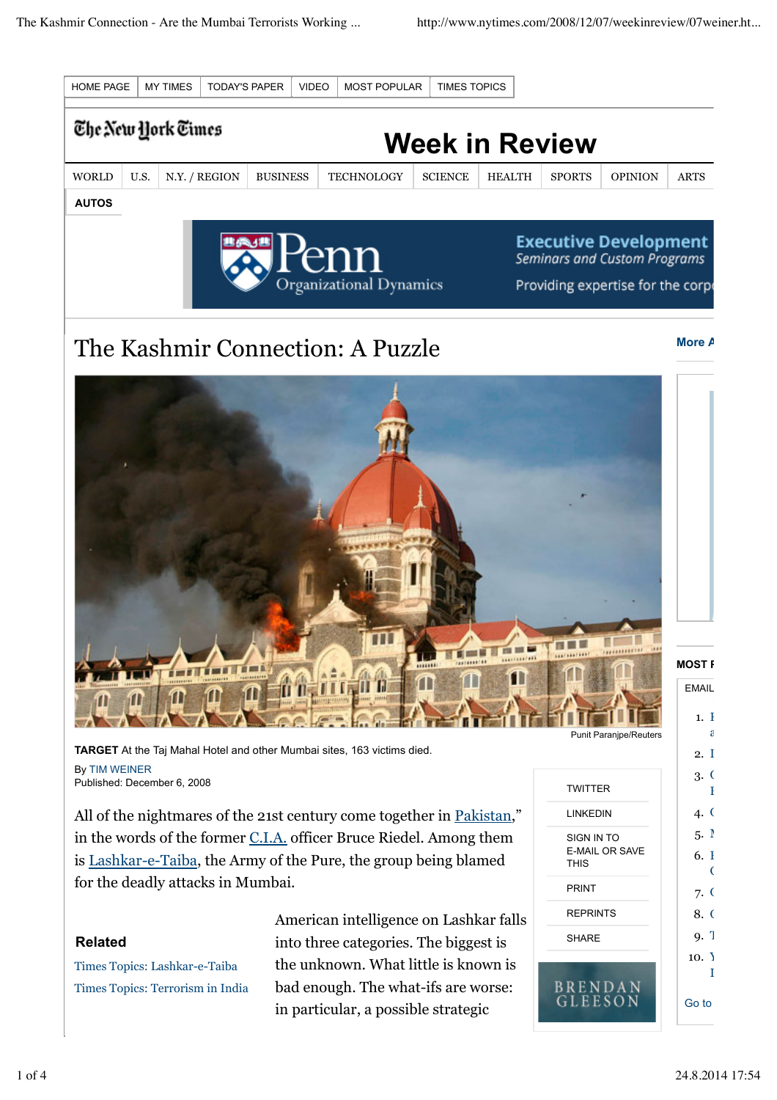

## **Related**

Times Topics: Lashkar-e-Taiba Times Topics: Terrorism in India American intelligence on Lashkar falls into three categories. The biggest is the unknown. What little is known is bad enough. The what-ifs are worse: in particular, a possible strategic GLEESON  $\bigcup$  Go to

1 of 4 24.8.2014 17:54

9. The Upshots of The Upshots of The Upshots of The Upshots of The Upshots of The Upshots of The Upshots of Th

**SHARF** 

BRENDAN

10. 1

Your Money: An Emerg Investment Advice  $\mathbf I$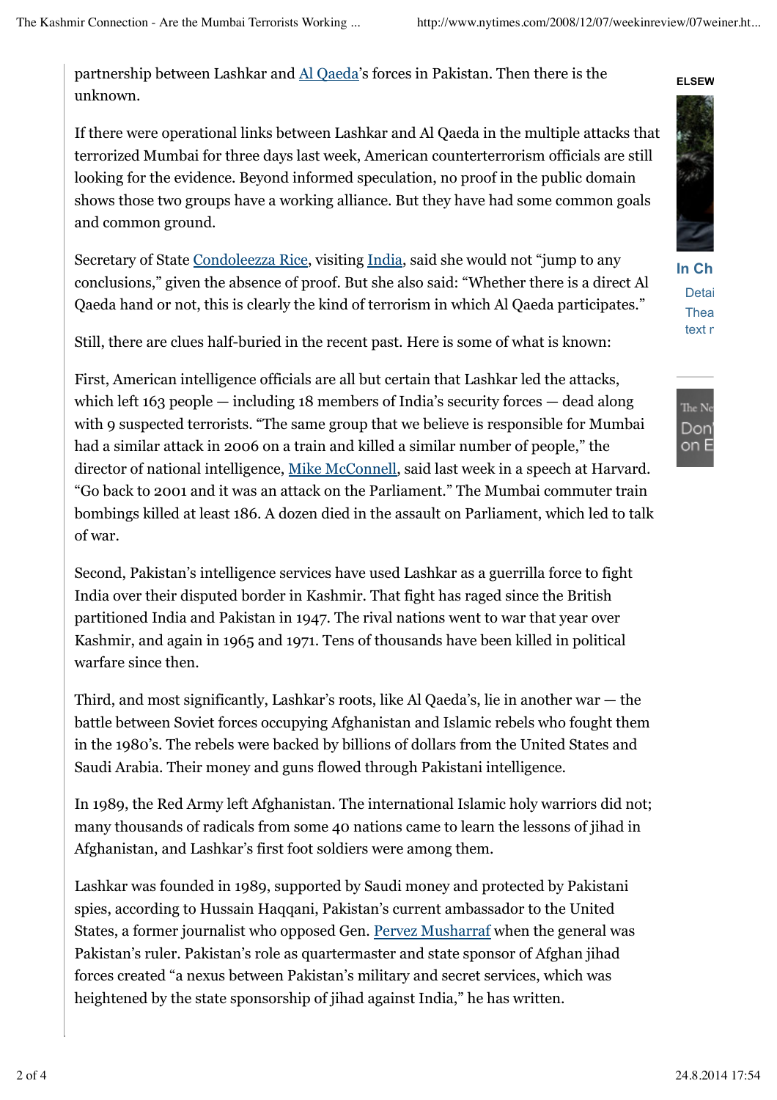partnership between Lashkar and Al Qaeda's forces in Pakistan. Then there is the unknown.

If there were operational links between Lashkar and Al Qaeda in the multiple attacks that terrorized Mumbai for three days last week, American counterterrorism officials are still looking for the evidence. Beyond informed speculation, no proof in the public domain shows those two groups have a working alliance. But they have had some common goals and common ground.

Secretary of State Condoleezza Rice, visiting India, said she would not "jump to any conclusions," given the absence of proof. But she also said: "Whether there is a direct Al Qaeda hand or not, this is clearly the kind of terrorism in which Al Qaeda participates."

Still, there are clues half-buried in the recent past. Here is some of what is known:

First, American intelligence officials are all but certain that Lashkar led the attacks, which left 163 people — including 18 members of India's security forces — dead along with 9 suspected terrorists. "The same group that we believe is responsible for Mumbai had a similar attack in 2006 on a train and killed a similar number of people," the director of national intelligence, Mike McConnell, said last week in a speech at Harvard. "Go back to 2001 and it was an attack on the Parliament." The Mumbai commuter train bombings killed at least 186. A dozen died in the assault on Parliament, which led to talk of war.

Second, Pakistan's intelligence services have used Lashkar as a guerrilla force to fight India over their disputed border in Kashmir. That fight has raged since the British partitioned India and Pakistan in 1947. The rival nations went to war that year over Kashmir, and again in 1965 and 1971. Tens of thousands have been killed in political warfare since then.

Third, and most significantly, Lashkar's roots, like Al Qaeda's, lie in another war — the battle between Soviet forces occupying Afghanistan and Islamic rebels who fought them in the 1980's. The rebels were backed by billions of dollars from the United States and Saudi Arabia. Their money and guns flowed through Pakistani intelligence.

In 1989, the Red Army left Afghanistan. The international Islamic holy warriors did not; many thousands of radicals from some 40 nations came to learn the lessons of jihad in Afghanistan, and Lashkar's first foot soldiers were among them.

Lashkar was founded in 1989, supported by Saudi money and protected by Pakistani spies, according to Hussain Haqqani, Pakistan's current ambassador to the United States, a former journalist who opposed Gen. Pervez Musharraf when the general was Pakistan's ruler. Pakistan's role as quartermaster and state sponsor of Afghan jihad forces created "a nexus between Pakistan's military and secret services, which was heightened by the state sponsorship of jihad against India," he has written.



**In China, myths of social c** Detai Thea text r

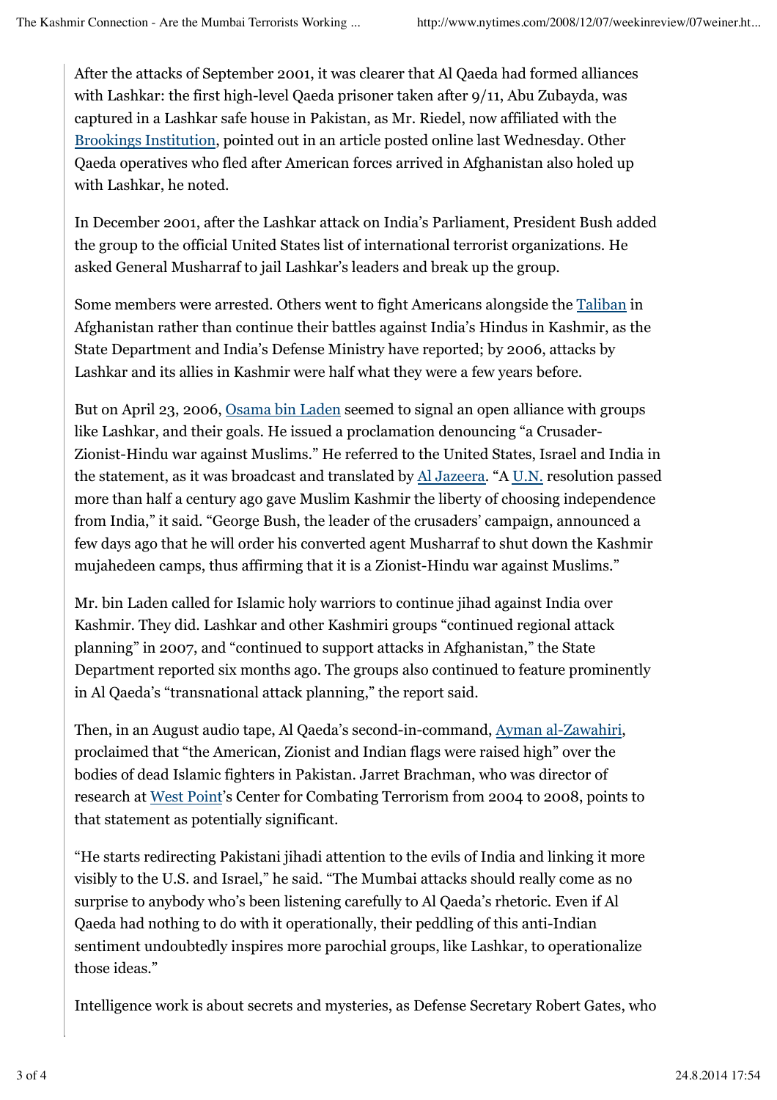After the attacks of September 2001, it was clearer that Al Qaeda had formed alliances with Lashkar: the first high-level Qaeda prisoner taken after 9/11, Abu Zubayda, was captured in a Lashkar safe house in Pakistan, as Mr. Riedel, now affiliated with the Brookings Institution, pointed out in an article posted online last Wednesday. Other Qaeda operatives who fled after American forces arrived in Afghanistan also holed up with Lashkar, he noted.

In December 2001, after the Lashkar attack on India's Parliament, President Bush added the group to the official United States list of international terrorist organizations. He asked General Musharraf to jail Lashkar's leaders and break up the group.

Some members were arrested. Others went to fight Americans alongside the Taliban in Afghanistan rather than continue their battles against India's Hindus in Kashmir, as the State Department and India's Defense Ministry have reported; by 2006, attacks by Lashkar and its allies in Kashmir were half what they were a few years before.

But on April 23, 2006, Osama bin Laden seemed to signal an open alliance with groups like Lashkar, and their goals. He issued a proclamation denouncing "a Crusader-Zionist-Hindu war against Muslims." He referred to the United States, Israel and India in the statement, as it was broadcast and translated by Al Jazeera. "A U.N. resolution passed more than half a century ago gave Muslim Kashmir the liberty of choosing independence from India," it said. "George Bush, the leader of the crusaders' campaign, announced a few days ago that he will order his converted agent Musharraf to shut down the Kashmir mujahedeen camps, thus affirming that it is a Zionist-Hindu war against Muslims."

Mr. bin Laden called for Islamic holy warriors to continue jihad against India over Kashmir. They did. Lashkar and other Kashmiri groups "continued regional attack planning" in 2007, and "continued to support attacks in Afghanistan," the State Department reported six months ago. The groups also continued to feature prominently in Al Qaeda's "transnational attack planning," the report said.

Then, in an August audio tape, Al Qaeda's second-in-command, Ayman al-Zawahiri, proclaimed that "the American, Zionist and Indian flags were raised high" over the bodies of dead Islamic fighters in Pakistan. Jarret Brachman, who was director of research at West Point's Center for Combating Terrorism from 2004 to 2008, points to that statement as potentially significant.

"He starts redirecting Pakistani jihadi attention to the evils of India and linking it more visibly to the U.S. and Israel," he said. "The Mumbai attacks should really come as no surprise to anybody who's been listening carefully to Al Qaeda's rhetoric. Even if Al Qaeda had nothing to do with it operationally, their peddling of this anti-Indian sentiment undoubtedly inspires more parochial groups, like Lashkar, to operationalize those ideas."

Intelligence work is about secrets and mysteries, as Defense Secretary Robert Gates, who